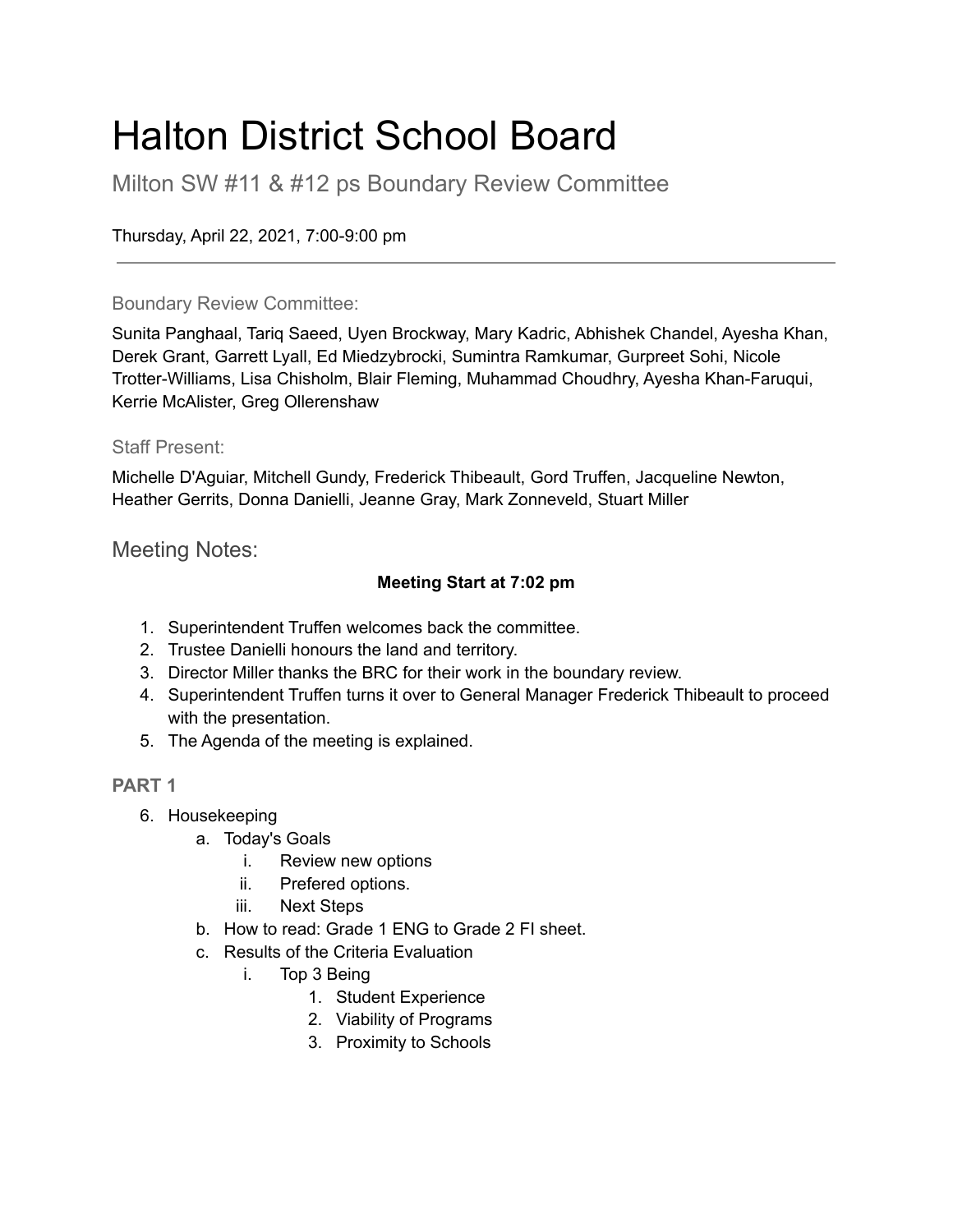### Halton District School Board

Milton SW #11 & #12 ps Boundary Review Committee

Thursday, April 22, 2021, 7:00-9:00 pm

### Boundary Review Committee:

Sunita Panghaal, Tariq Saeed, Uyen Brockway, Mary Kadric, Abhishek Chandel, Ayesha Khan, Derek Grant, Garrett Lyall, Ed Miedzybrocki, Sumintra Ramkumar, Gurpreet Sohi, Nicole Trotter-Williams, Lisa Chisholm, Blair Fleming, Muhammad Choudhry, Ayesha Khan-Faruqui, Kerrie McAlister, Greg Ollerenshaw

### Staff Present:

Michelle D'Aguiar, Mitchell Gundy, Frederick Thibeault, Gord Truffen, Jacqueline Newton, Heather Gerrits, Donna Danielli, Jeanne Gray, Mark Zonneveld, Stuart Miller

Meeting Notes:

### **Meeting Start at 7:02 pm**

- 1. Superintendent Truffen welcomes back the committee.
- 2. Trustee Danielli honours the land and territory.
- 3. Director Miller thanks the BRC for their work in the boundary review.
- 4. Superintendent Truffen turns it over to General Manager Frederick Thibeault to proceed with the presentation.
- 5. The Agenda of the meeting is explained.

### **PART 1**

- 6. Housekeeping
	- a. Today's Goals
		- i. Review new options
		- ii. Prefered options.
		- iii. Next Steps
	- b. How to read: Grade 1 ENG to Grade 2 FI sheet.
	- c. Results of the Criteria Evaluation
		- i. Top 3 Being
			- 1. Student Experience
			- 2. Viability of Programs
			- 3. Proximity to Schools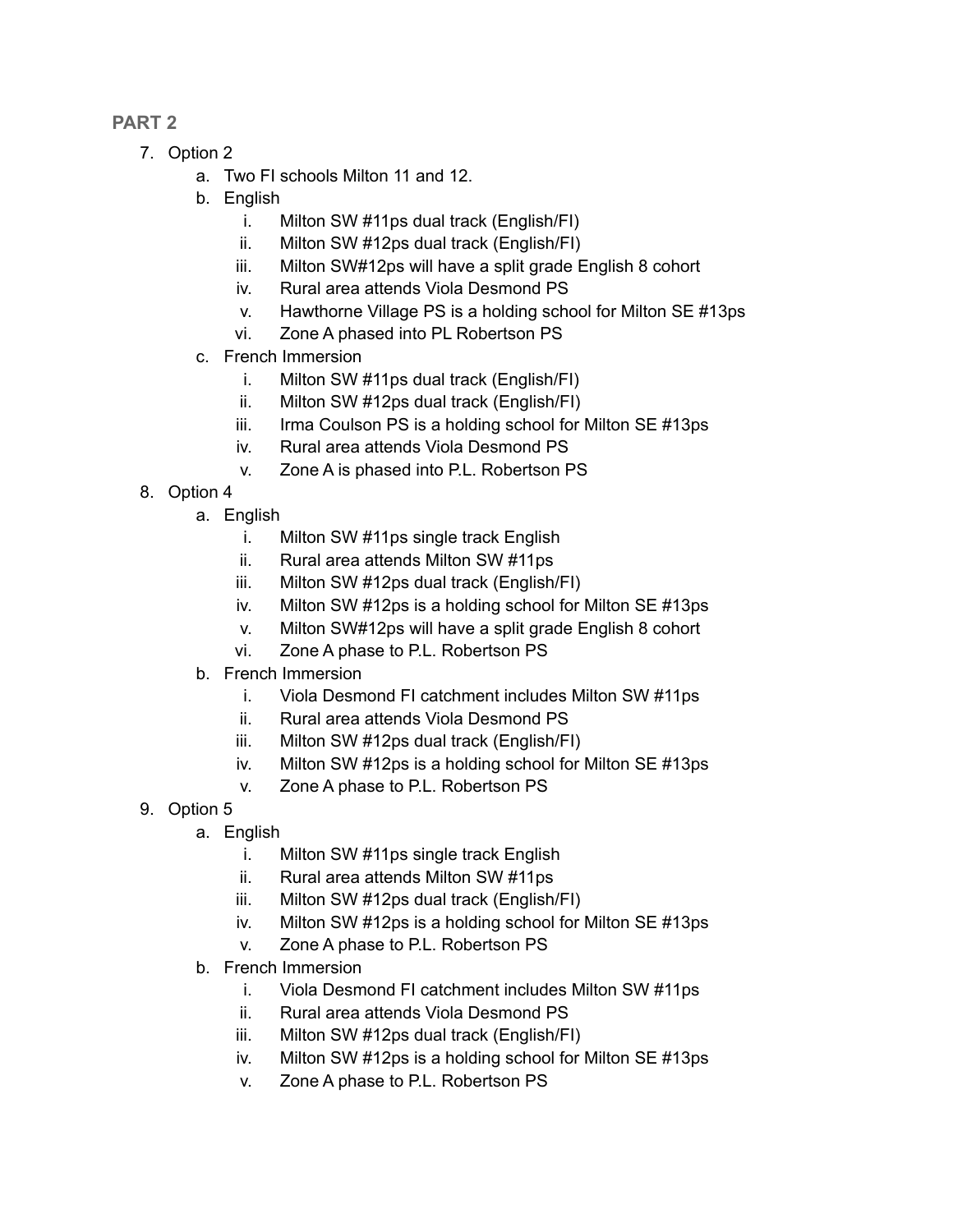### **PART 2**

- 7. Option 2
	- a. Two FI schools Milton 11 and 12.
	- b. English
		- i. Milton SW #11ps dual track (English/FI)
		- ii. Milton SW #12ps dual track (English/FI)
		- iii. Milton SW#12ps will have a split grade English 8 cohort
		- iv. Rural area attends Viola Desmond PS
		- v. Hawthorne Village PS is a holding school for Milton SE #13ps
		- vi. Zone A phased into PL Robertson PS
	- c. French Immersion
		- i. Milton SW #11ps dual track (English/FI)
		- ii. Milton SW #12ps dual track (English/FI)
		- iii. Irma Coulson PS is a holding school for Milton SE #13ps
		- iv. Rural area attends Viola Desmond PS
		- v. Zone A is phased into P.L. Robertson PS
- 8. Option 4
	- a. English
		- i. Milton SW #11ps single track English
		- ii. Rural area attends Milton SW #11ps
		- iii. Milton SW #12ps dual track (English/FI)
		- iv. Milton SW #12ps is a holding school for Milton SE #13ps
		- v. Milton SW#12ps will have a split grade English 8 cohort
		- vi. Zone A phase to P.L. Robertson PS
	- b. French Immersion
		- i. Viola Desmond FI catchment includes Milton SW #11ps
		- ii. Rural area attends Viola Desmond PS
		- iii. Milton SW #12ps dual track (English/FI)
		- iv. Milton SW #12ps is a holding school for Milton SE #13ps
		- v. Zone A phase to P.L. Robertson PS
- 9. Option 5
	- a. English
		- i. Milton SW #11ps single track English
		- ii. Rural area attends Milton SW #11ps
		- iii. Milton SW #12ps dual track (English/FI)
		- iv. Milton SW #12ps is a holding school for Milton SE #13ps
		- v. Zone A phase to P.L. Robertson PS
	- b. French Immersion
		- i. Viola Desmond FI catchment includes Milton SW #11ps
		- ii. Rural area attends Viola Desmond PS
		- iii. Milton SW #12ps dual track (English/FI)
		- iv. Milton SW #12ps is a holding school for Milton SE #13ps
		- v. Zone A phase to P.L. Robertson PS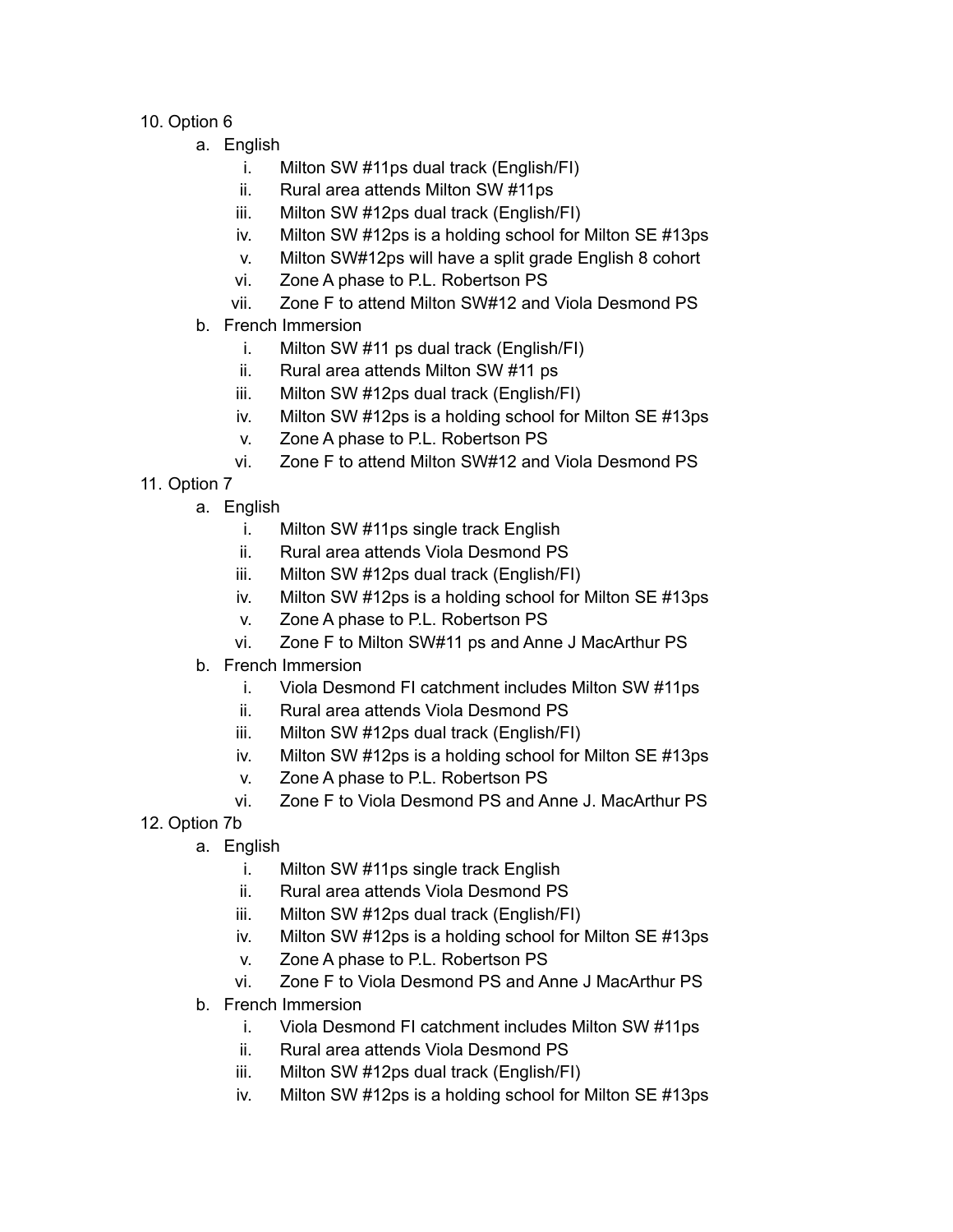- 10. Option 6
	- a. English
		- i. Milton SW #11ps dual track (English/FI)
		- ii. Rural area attends Milton SW #11ps
		- iii. Milton SW #12ps dual track (English/FI)
		- iv. Milton SW #12ps is a holding school for Milton SE #13ps
		- v. Milton SW#12ps will have a split grade English 8 cohort
		- vi. Zone A phase to P.L. Robertson PS
		- vii. Zone F to attend Milton SW#12 and Viola Desmond PS
	- b. French Immersion
		- i. Milton SW #11 ps dual track (English/FI)
		- ii. Rural area attends Milton SW #11 ps
		- iii. Milton SW #12ps dual track (English/FI)
		- iv. Milton SW #12ps is a holding school for Milton SE #13ps
		- v. Zone A phase to P.L. Robertson PS
		- vi. Zone F to attend Milton SW#12 and Viola Desmond PS
- 11. Option 7
	- a. English
		- i. Milton SW #11ps single track English
		- ii. Rural area attends Viola Desmond PS
		- iii. Milton SW #12ps dual track (English/FI)
		- iv. Milton SW #12ps is a holding school for Milton SE #13ps
		- v. Zone A phase to P.L. Robertson PS
		- vi. Zone F to Milton SW#11 ps and Anne J MacArthur PS
	- b. French Immersion
		- i. Viola Desmond FI catchment includes Milton SW #11ps
		- ii. Rural area attends Viola Desmond PS
		- iii. Milton SW #12ps dual track (English/FI)
		- iv. Milton SW #12ps is a holding school for Milton SE #13ps
		- v. Zone A phase to P.L. Robertson PS
		- vi. Zone F to Viola Desmond PS and Anne J. MacArthur PS
- 12. Option 7b
	- a. English
		- i. Milton SW #11ps single track English
		- ii. Rural area attends Viola Desmond PS
		- iii. Milton SW #12ps dual track (English/FI)
		- iv. Milton SW #12ps is a holding school for Milton SE #13ps
		- v. Zone A phase to P.L. Robertson PS
		- vi. Zone F to Viola Desmond PS and Anne J MacArthur PS
	- b. French Immersion
		- i. Viola Desmond FI catchment includes Milton SW #11ps
		- ii. Rural area attends Viola Desmond PS
		- iii. Milton SW #12ps dual track (English/FI)
		- iv. Milton SW #12ps is a holding school for Milton SE #13ps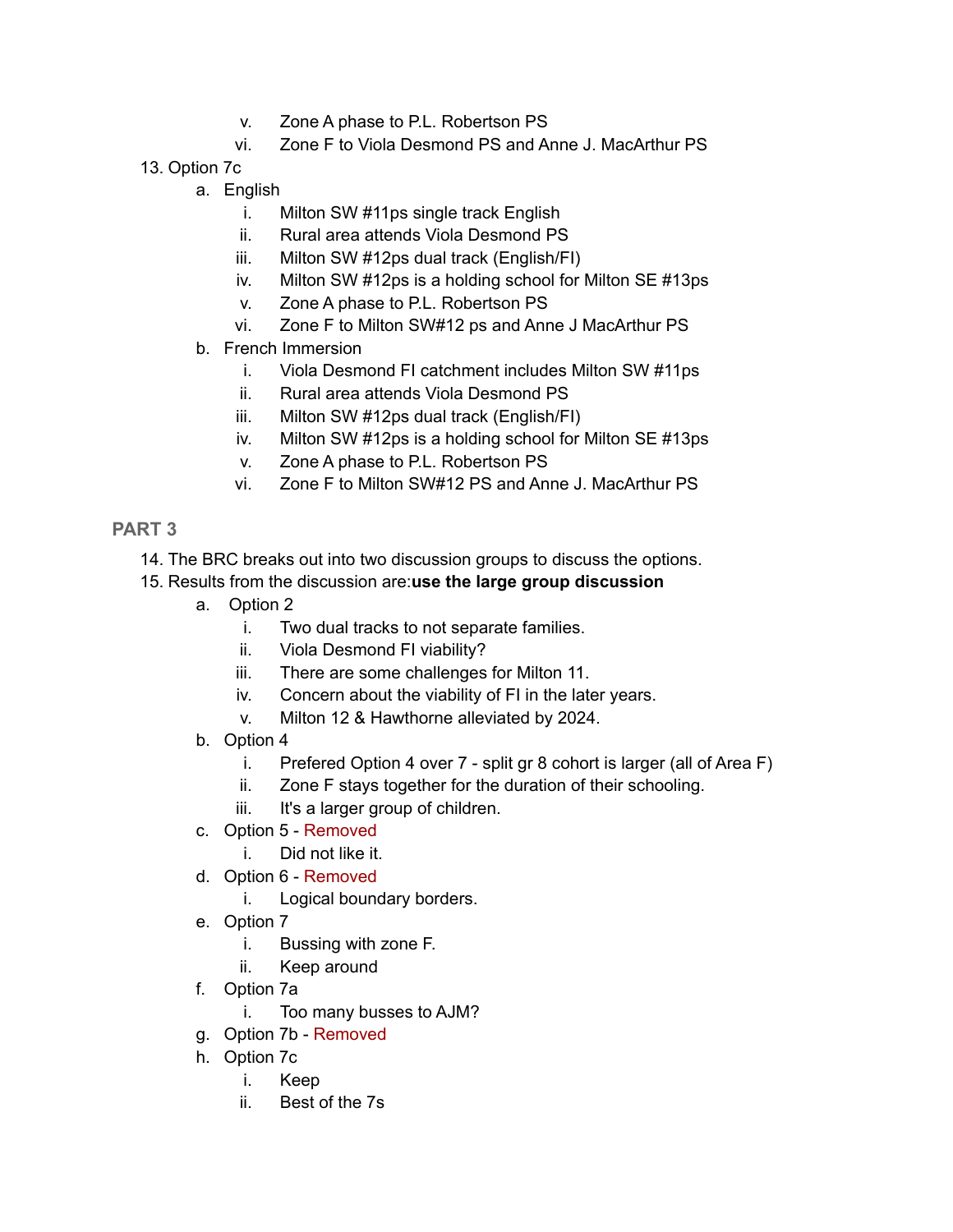- v. Zone A phase to P.L. Robertson PS
- vi. Zone F to Viola Desmond PS and Anne J. MacArthur PS
- 13. Option 7c
	- a. English
		- i. Milton SW #11ps single track English
		- ii. Rural area attends Viola Desmond PS
		- iii. Milton SW #12ps dual track (English/FI)
		- iv. Milton SW #12ps is a holding school for Milton SE #13ps
		- v. Zone A phase to P.L. Robertson PS
		- vi. Zone F to Milton SW#12 ps and Anne J MacArthur PS
	- b. French Immersion
		- i. Viola Desmond FI catchment includes Milton SW #11ps
		- ii. Rural area attends Viola Desmond PS
		- iii. Milton SW #12ps dual track (English/FI)
		- iv. Milton SW #12ps is a holding school for Milton SE #13ps
		- v. Zone A phase to P.L. Robertson PS
		- vi. Zone F to Milton SW#12 PS and Anne J. MacArthur PS

### **PART 3**

- 14. The BRC breaks out into two discussion groups to discuss the options.
- 15. Results from the discussion are:**use the large group discussion**
	- a. Option 2
		- i. Two dual tracks to not separate families.
		- ii. Viola Desmond FI viability?
		- iii. There are some challenges for Milton 11.
		- iv. Concern about the viability of FI in the later years.
		- v. Milton 12 & Hawthorne alleviated by 2024.
	- b. Option 4
		- i. Prefered Option 4 over 7 split gr 8 cohort is larger (all of Area F)
		- ii. Zone F stays together for the duration of their schooling.
		- iii. It's a larger group of children.
	- c. Option 5 Removed
		- i. Did not like it.
	- d. Option 6 Removed
		- i. Logical boundary borders.
	- e. Option 7
		- i. Bussing with zone F.
		- ii. Keep around
	- f. Option 7a
		- i. Too many busses to AJM?
	- g. Option 7b Removed
	- h. Option 7c
		- i. Keep
		- ii. Best of the 7s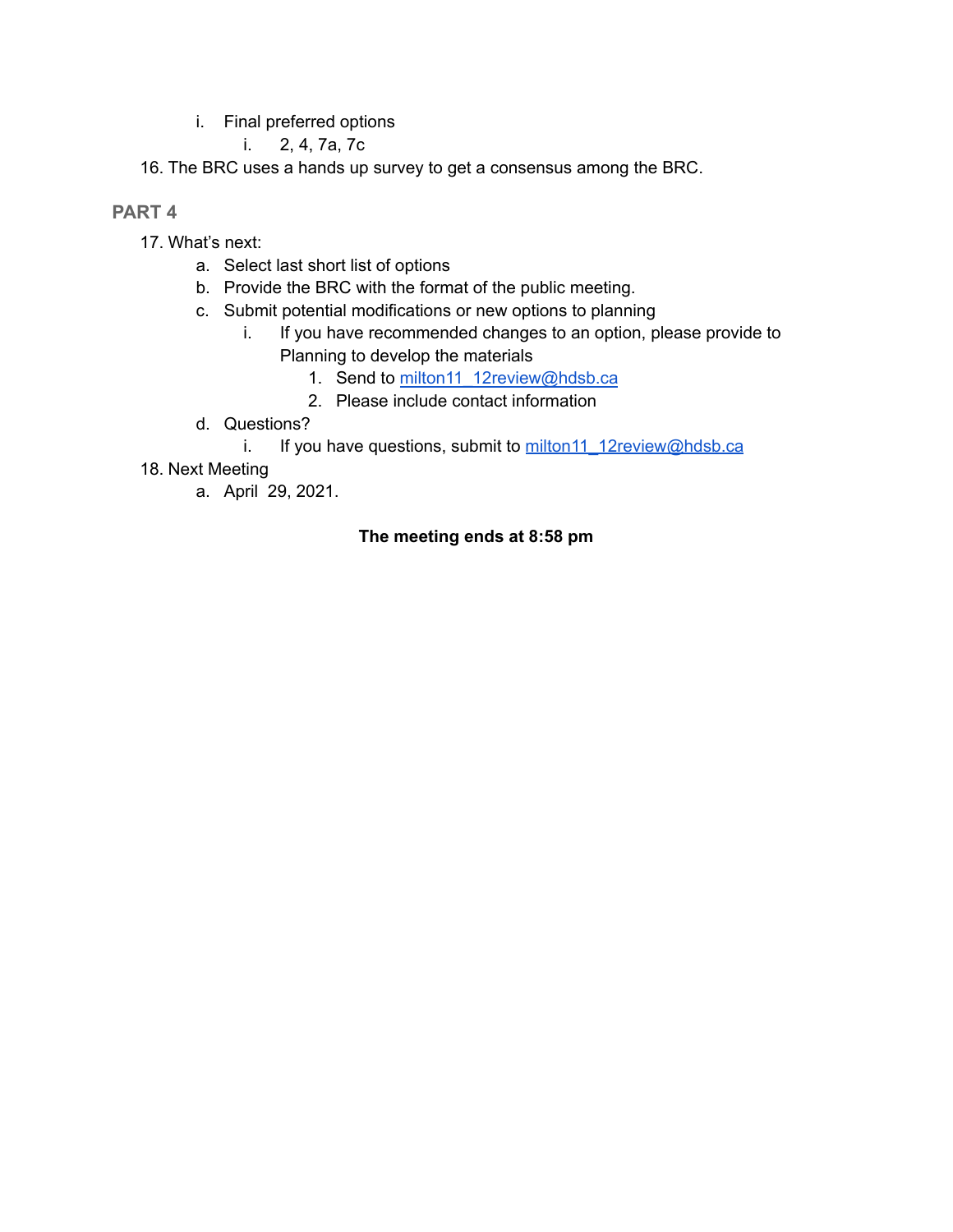i. Final preferred options

i. 2, 4, 7a, 7c

16. The BRC uses a hands up survey to get a consensus among the BRC.

### **PART 4**

- 17. What's next:
	- a. Select last short list of options
	- b. Provide the BRC with the format of the public meeting.
	- c. Submit potential modifications or new options to planning
		- i. If you have recommended changes to an option, please provide to Planning to develop the materials
			- 1. Send to [milton11\\_12review@hdsb.ca](mailto:milton11_12review@hdsb.ca)
			- 2. Please include contact information
	- d. Questions?
		- i. If you have questions, submit to [milton11\\_12review@hdsb.ca](mailto:milton11_12review@hdsb.ca)
- 18. Next Meeting
	- a. April 29, 2021.

### **The meeting ends at 8:58 pm**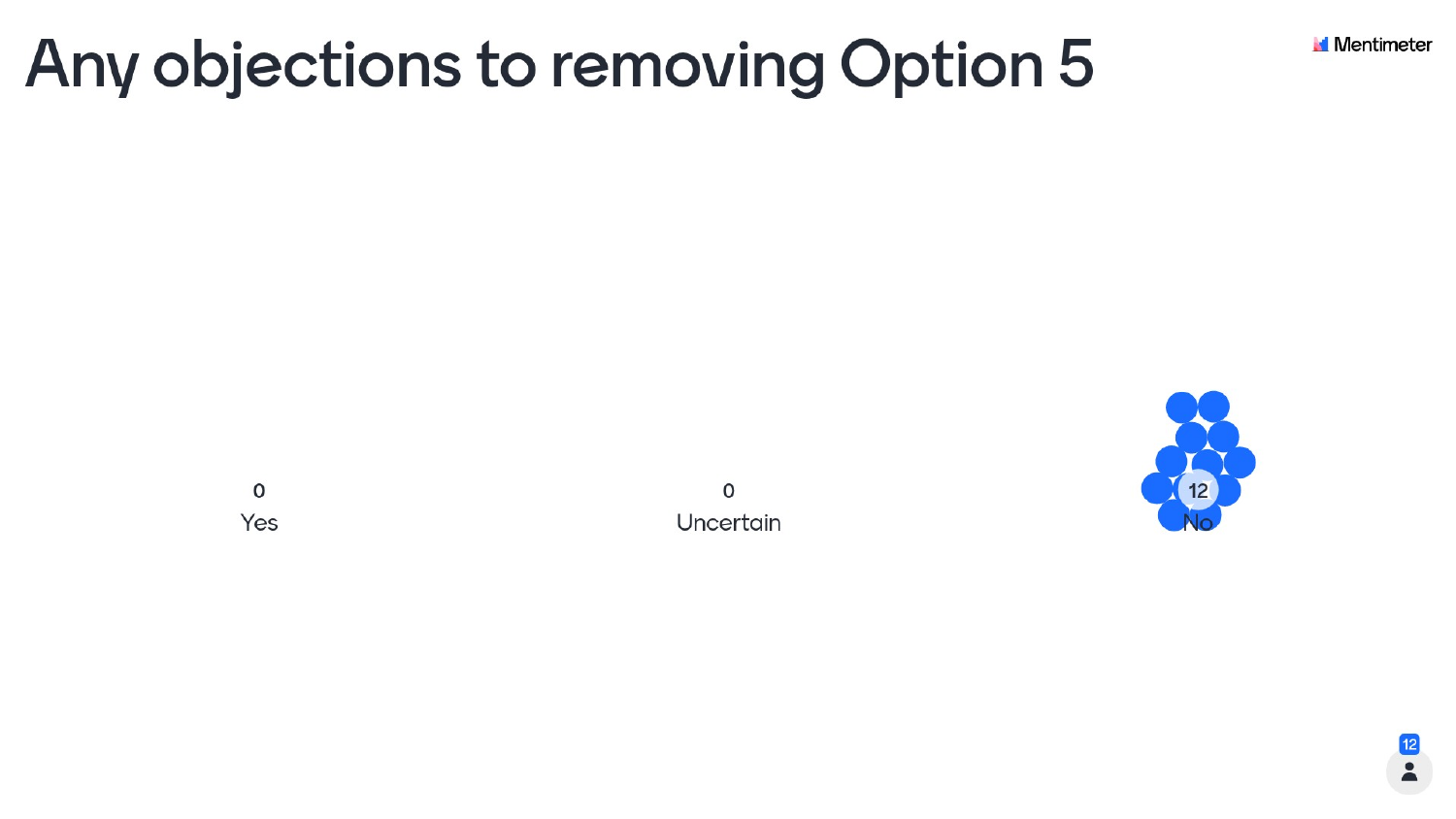# Any objections to removing Option 5

 $\mathsf O$ Yes

O Uncertain





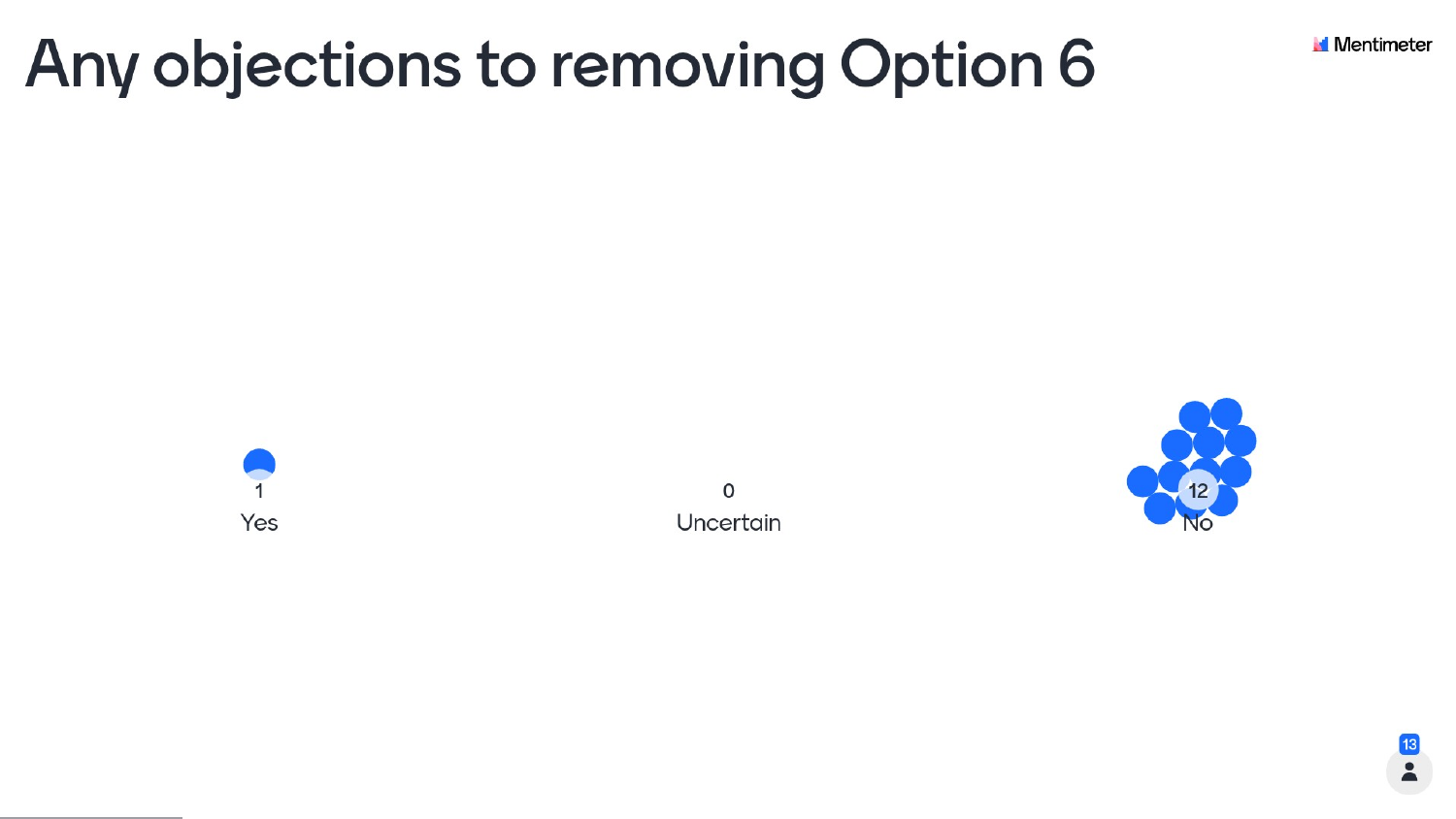# Any objections to removing Option 6





 $\mathsf{o}$ Uncertain



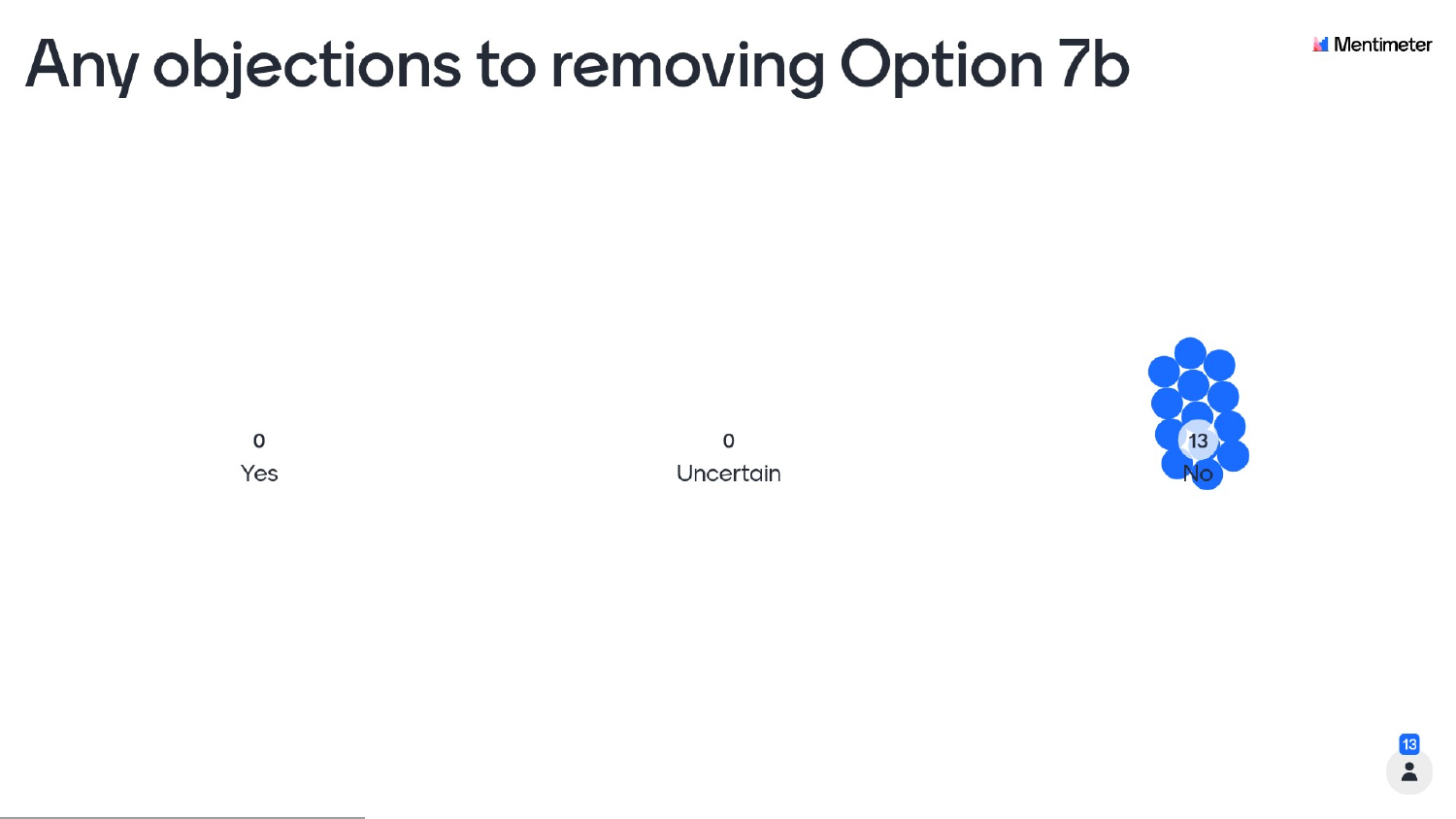# Any objections to removing Option 7b

 $\mathsf O$ Yes

 $\mathsf{o}$ Uncertain





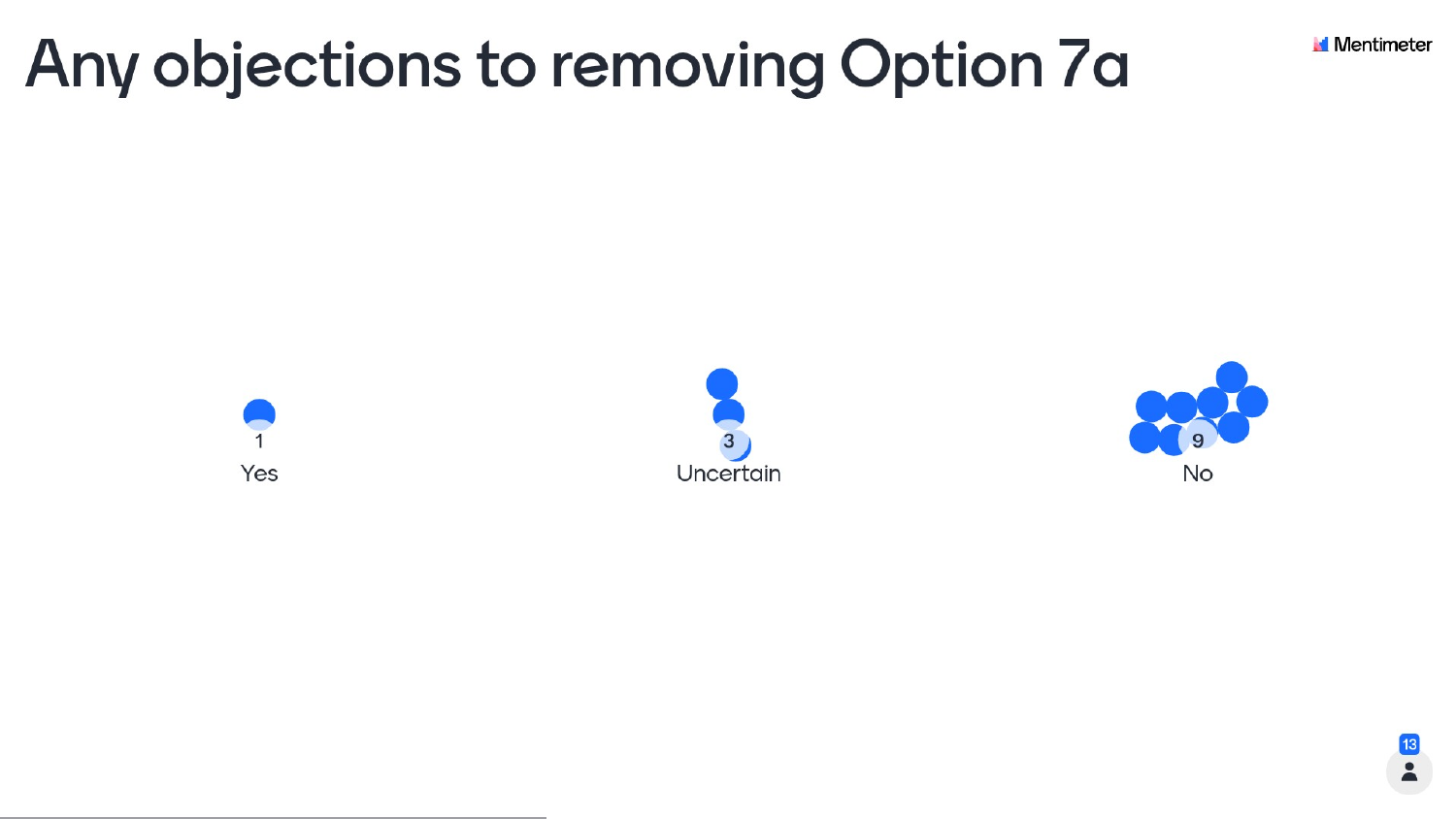# Any objections to removing Option 7a









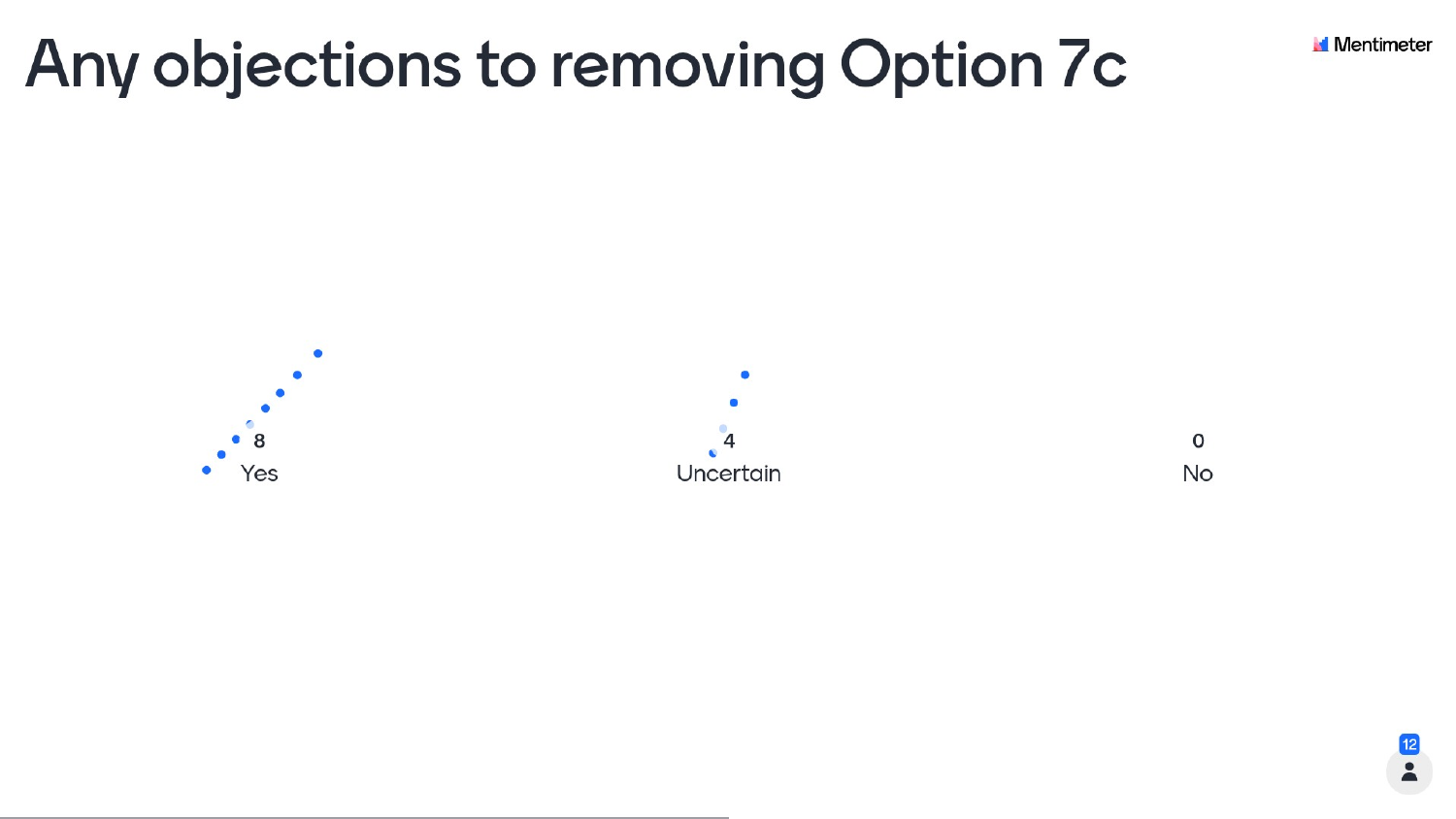# Any objections to removing Option 7c

8 Yes



 $\mathsf{o}$ No



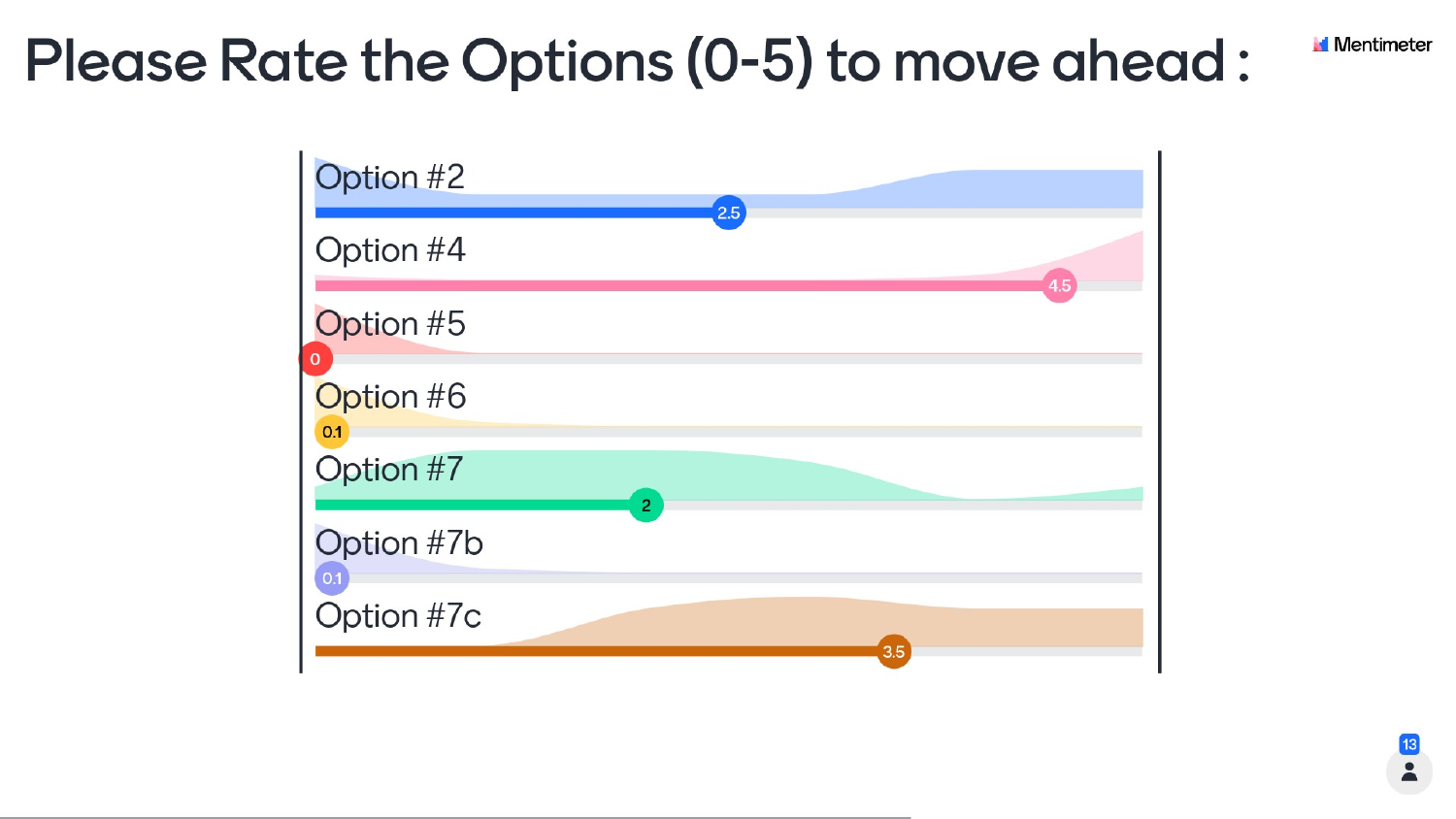## Please Rate the Options (0-5) to move ahead:





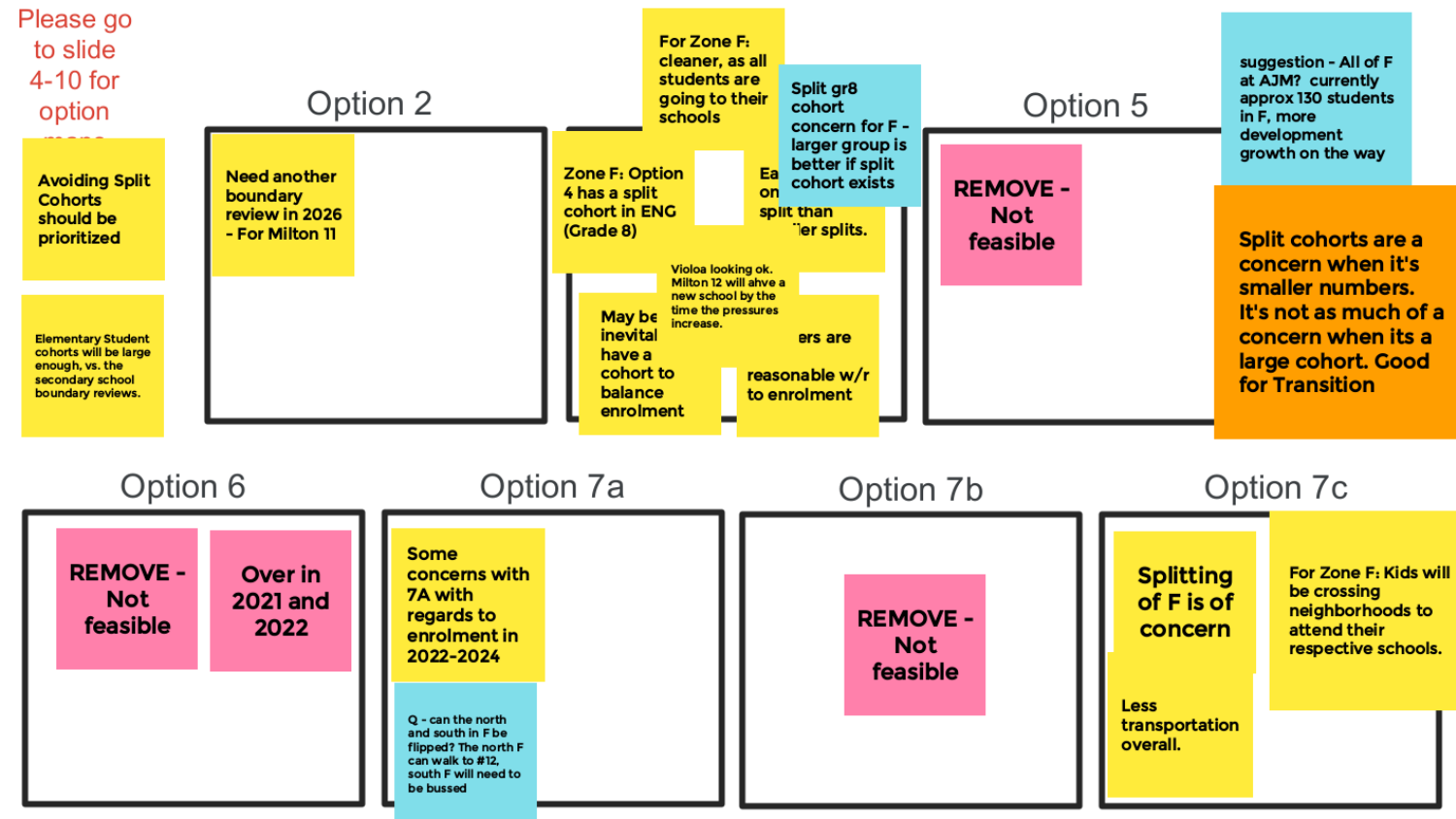

## Option 5

**REMOVE -Not** feasible

suggestion - All of F at AJM? currently approx 130 students in F, more development growth on the way

Split cohorts are a concern when it's smaller numbers. It's not as much of a concern when its a large cohort. Good for Transition

## Option 7c

**Splitting** of F is of concern

Less transportation overall.

For Zone F: Kids will be crossing neighborhoods to attend their respective schools.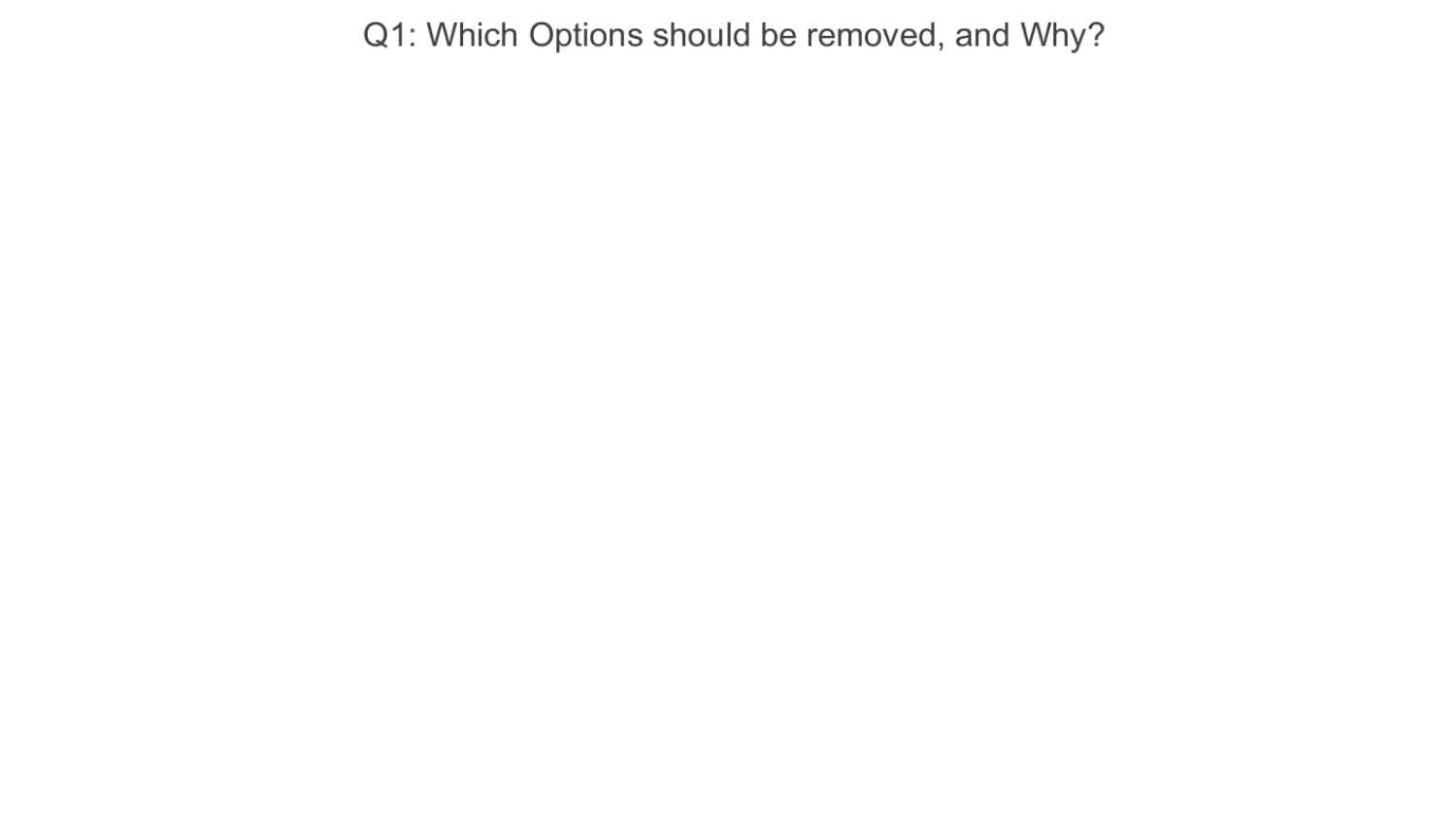## Q1: Which Options should be removed, and Why?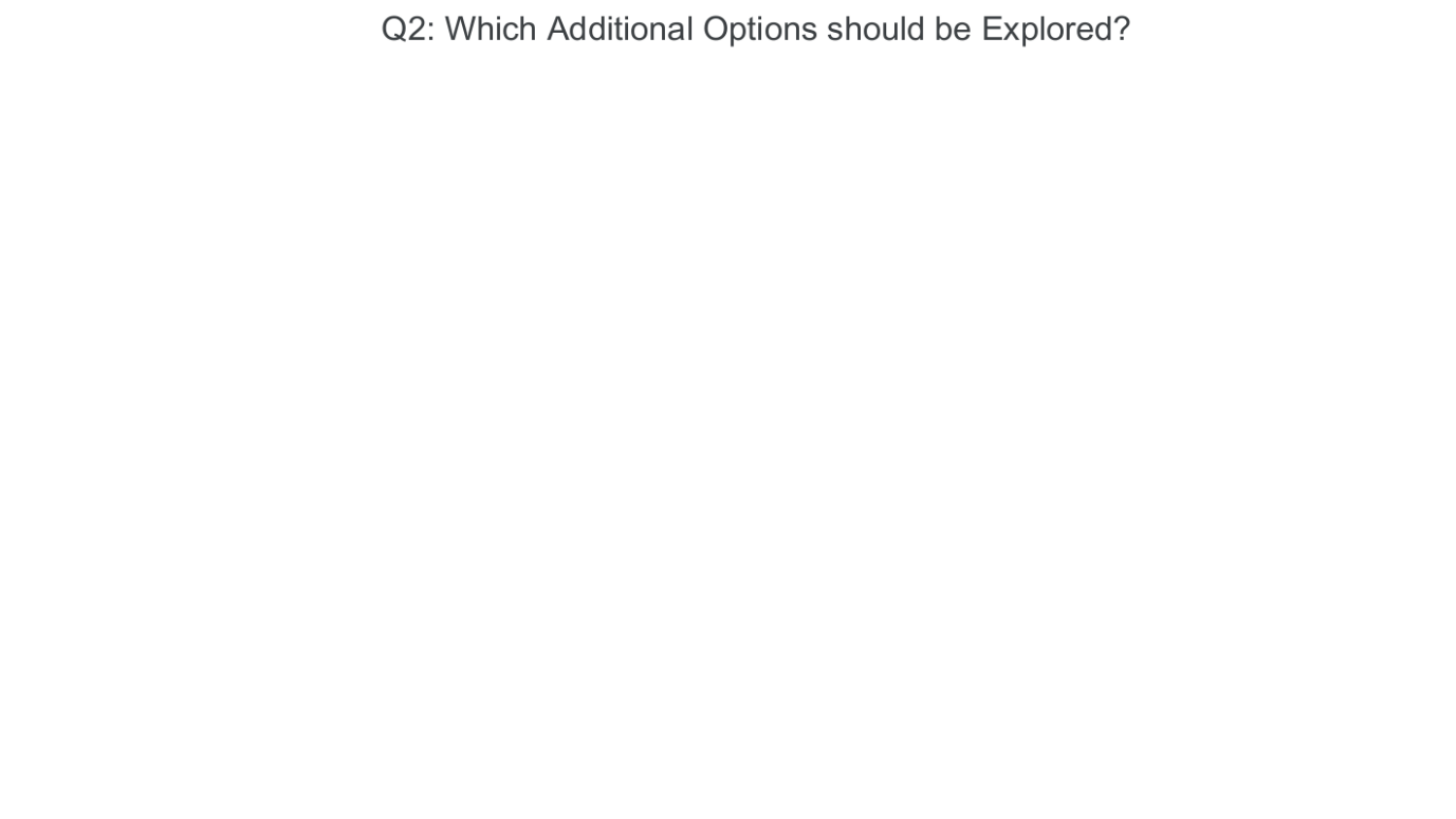## Q2: Which Additional Options should be Explored?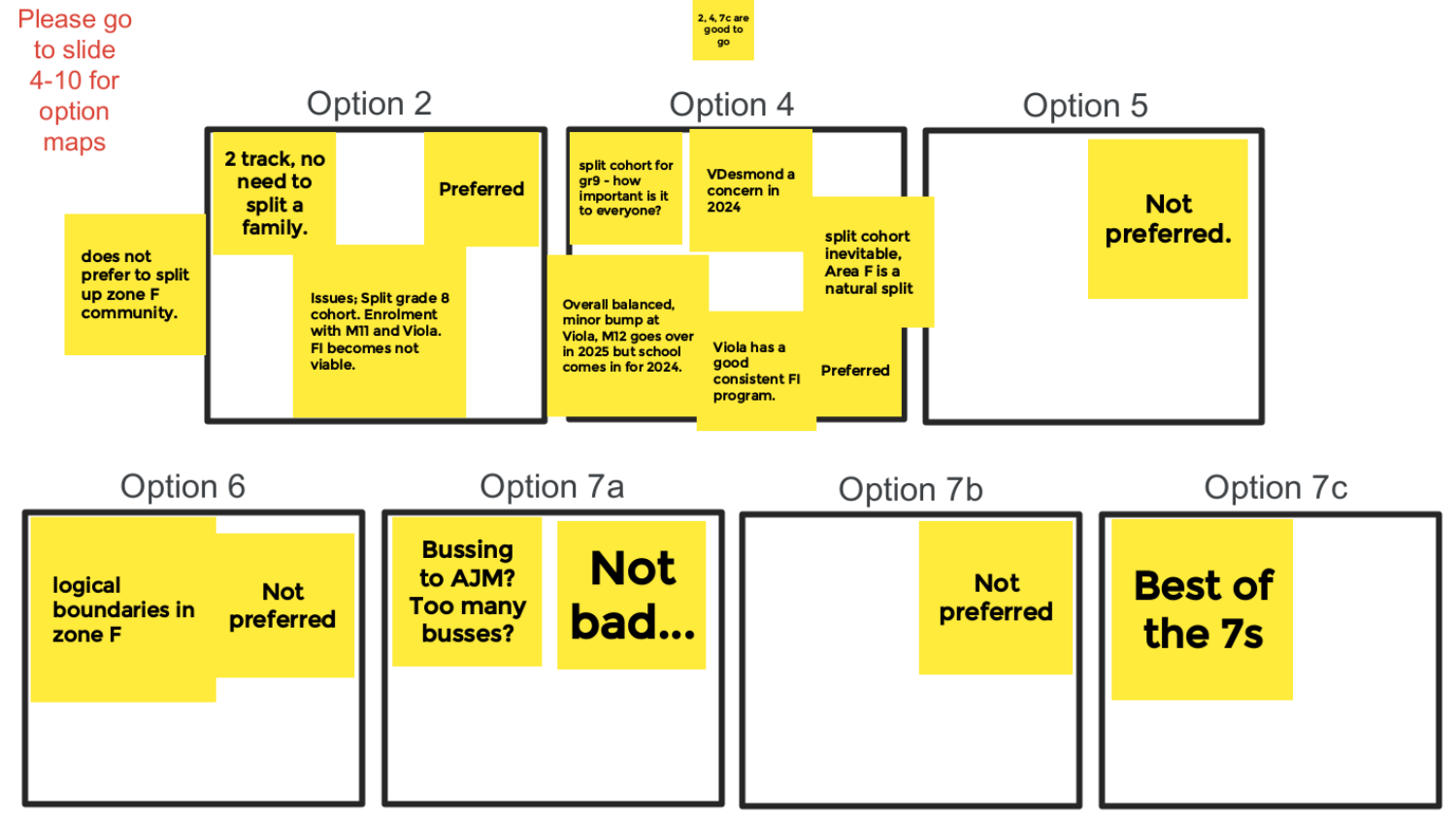



**Not** 

preferred

## Option 7c

**Best of** the 7s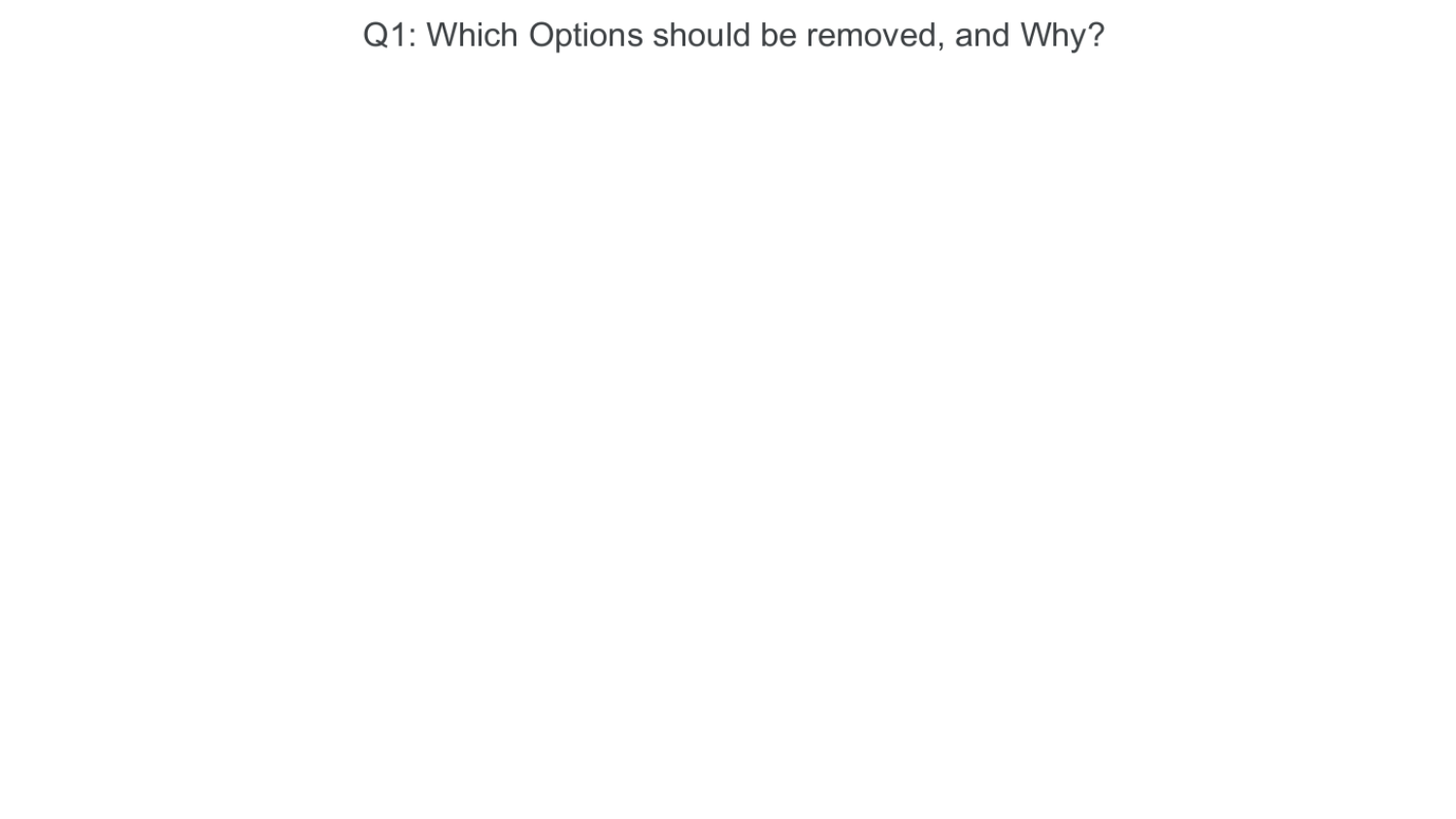## Q1: Which Options should be removed, and Why?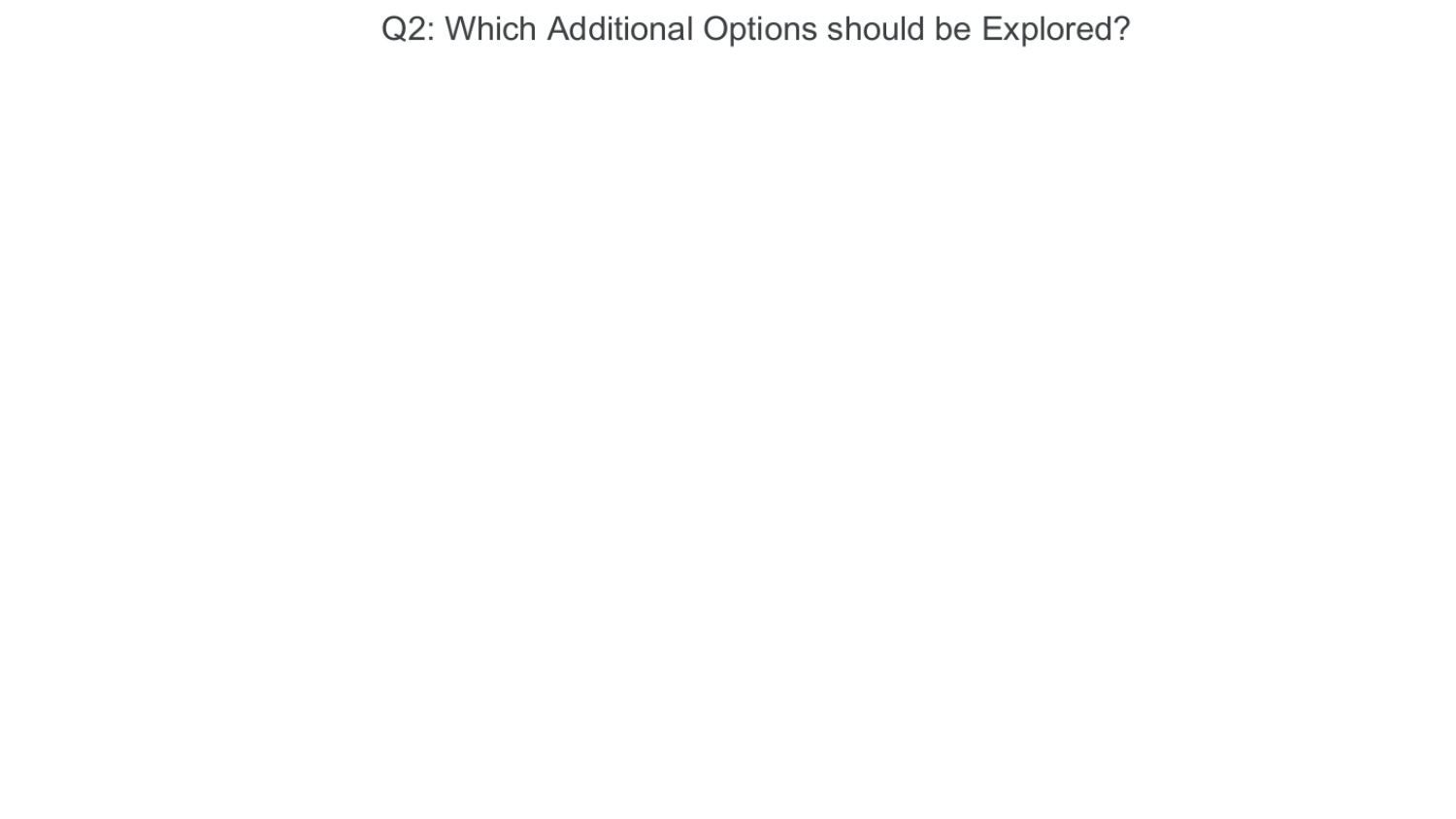## Q2: Which Additional Options should be Explored?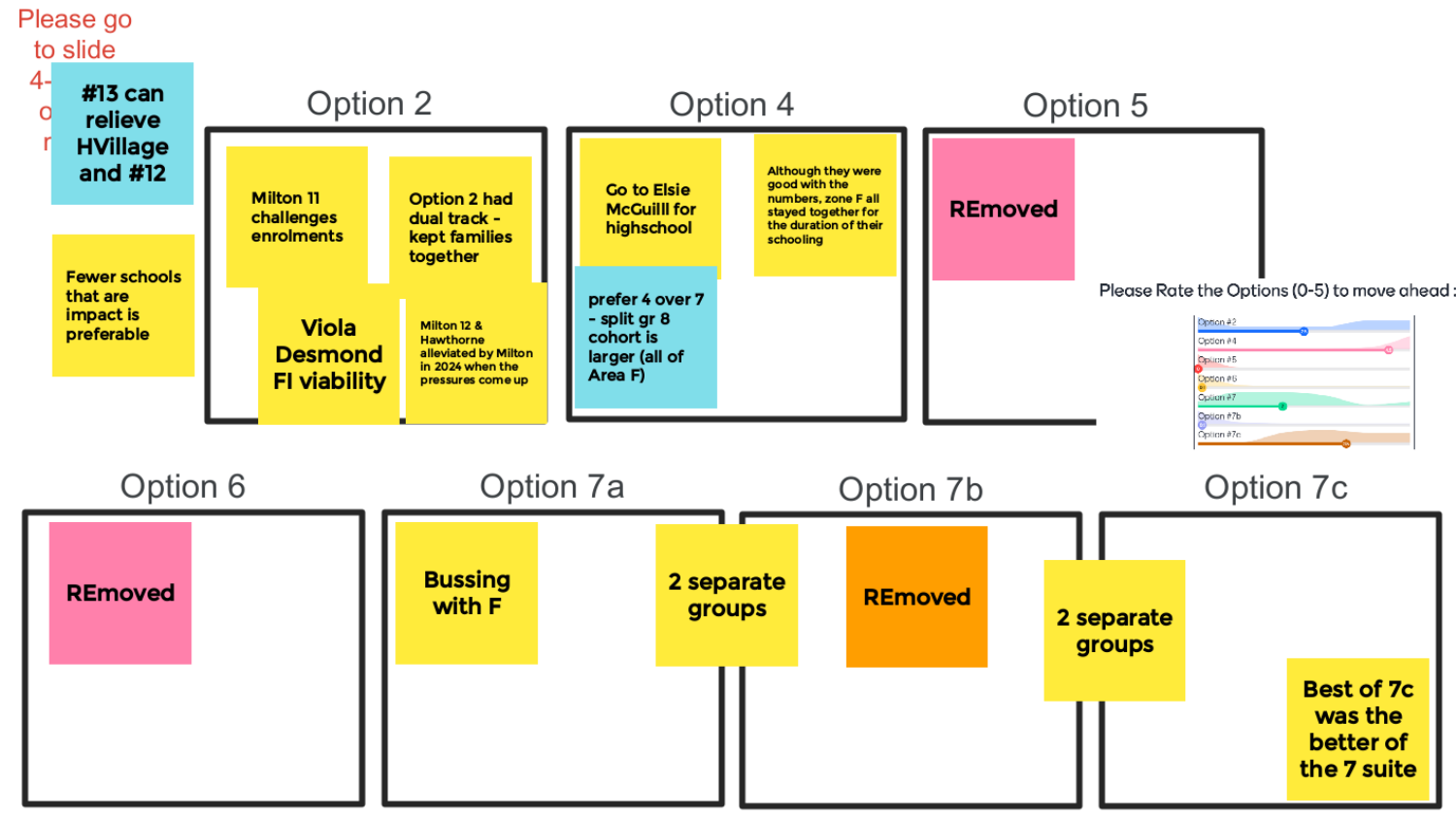

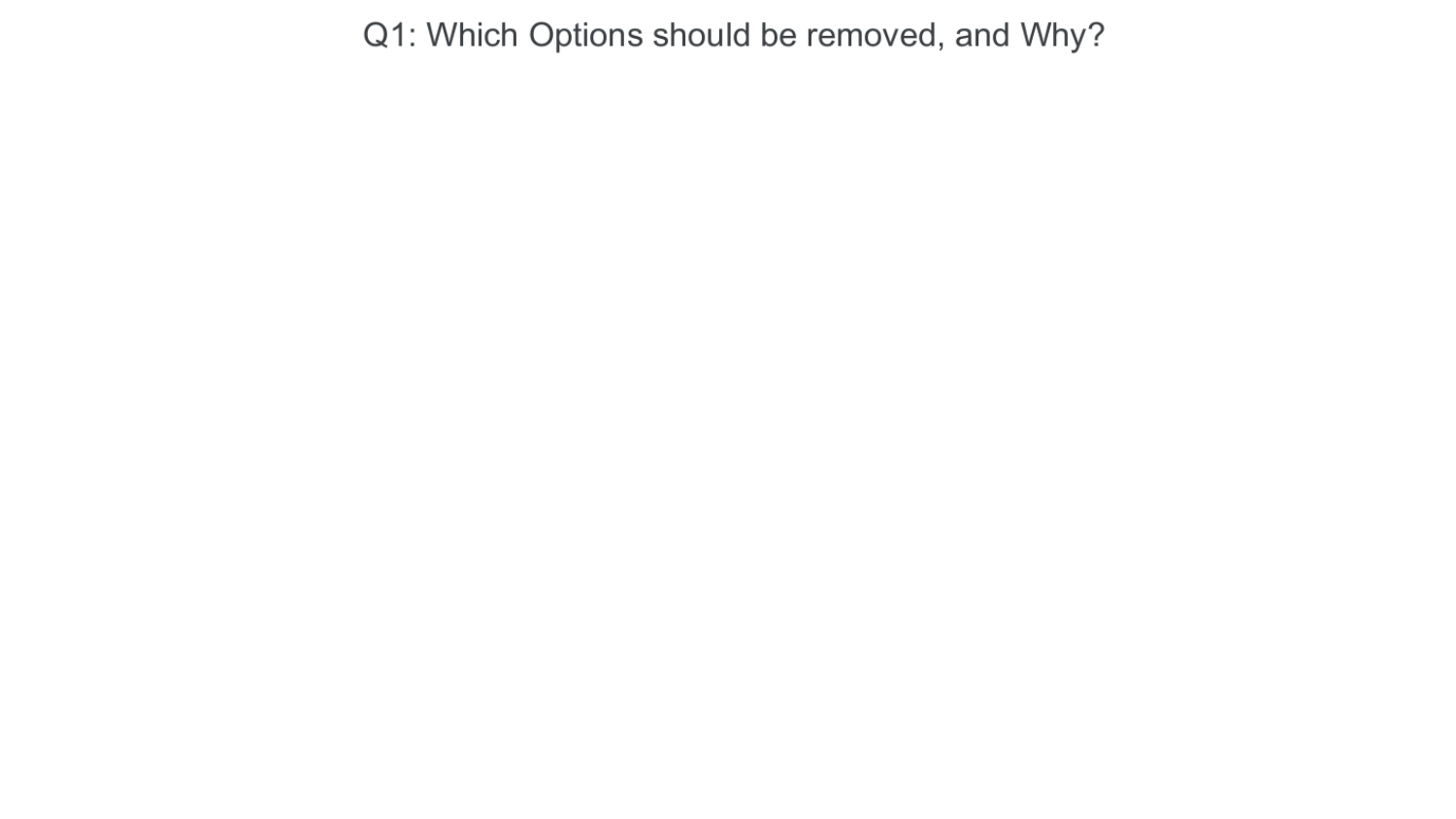## Q1: Which Options should be removed, and Why?